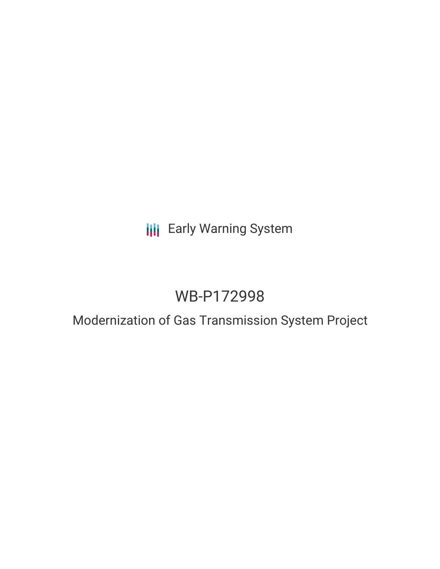# **III** Early Warning System

# WB-P172998

# Modernization of Gas Transmission System Project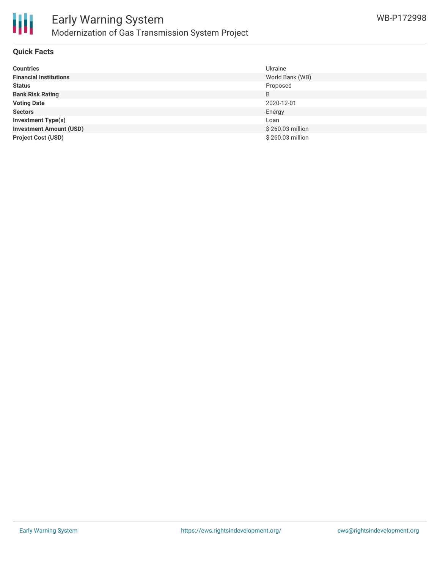

### **Quick Facts**

| <b>Countries</b>               | Ukraine          |
|--------------------------------|------------------|
| <b>Financial Institutions</b>  | World Bank (WB)  |
| <b>Status</b>                  | Proposed         |
| <b>Bank Risk Rating</b>        | B                |
| <b>Voting Date</b>             | 2020-12-01       |
| <b>Sectors</b>                 | Energy           |
| <b>Investment Type(s)</b>      | Loan             |
| <b>Investment Amount (USD)</b> | \$260.03 million |
| <b>Project Cost (USD)</b>      | \$260.03 million |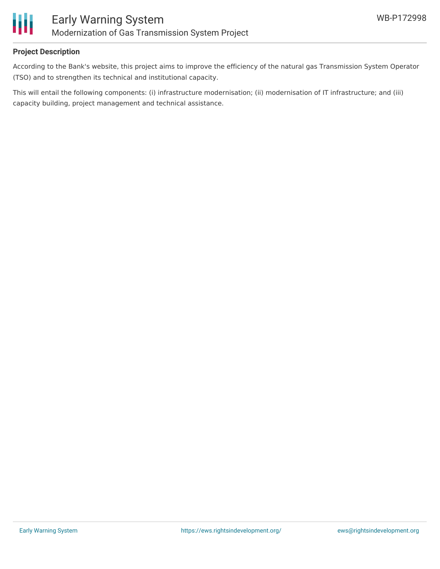

## **Project Description**

According to the Bank's website, this project aims to improve the efficiency of the natural gas Transmission System Operator (TSO) and to strengthen its technical and institutional capacity.

This will entail the following components: (i) infrastructure modernisation; (ii) modernisation of IT infrastructure; and (iii) capacity building, project management and technical assistance.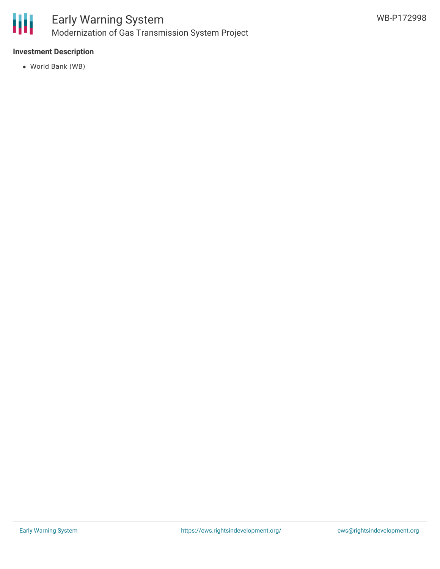

## **Investment Description**

World Bank (WB)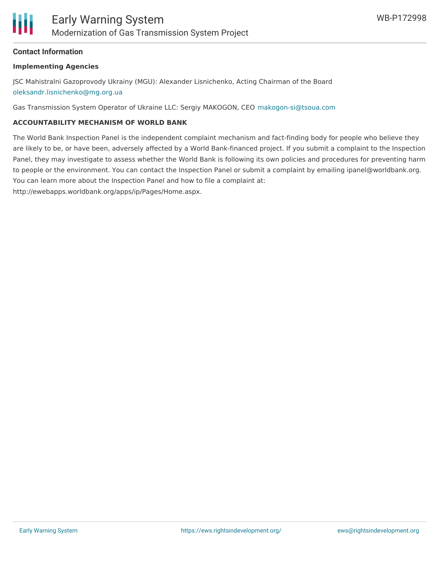### **Contact Information**

#### **Implementing Agencies**

JSC Mahistralni Gazoprovody Ukrainy (MGU): Alexander Lisnichenko, Acting Chairman of the Board [oleksandr.lisnichenko@mg.org.ua](mailto:oleksandr.lisnichenko@mg.org.ua)

Gas Transmission System Operator of Ukraine LLC: Sergiy MAKOGON, CEO [makogon-si@tsoua.com](mailto:makogon-si@tsoua.com)

#### **ACCOUNTABILITY MECHANISM OF WORLD BANK**

The World Bank Inspection Panel is the independent complaint mechanism and fact-finding body for people who believe they are likely to be, or have been, adversely affected by a World Bank-financed project. If you submit a complaint to the Inspection Panel, they may investigate to assess whether the World Bank is following its own policies and procedures for preventing harm to people or the environment. You can contact the Inspection Panel or submit a complaint by emailing ipanel@worldbank.org. You can learn more about the Inspection Panel and how to file a complaint at:

http://ewebapps.worldbank.org/apps/ip/Pages/Home.aspx.